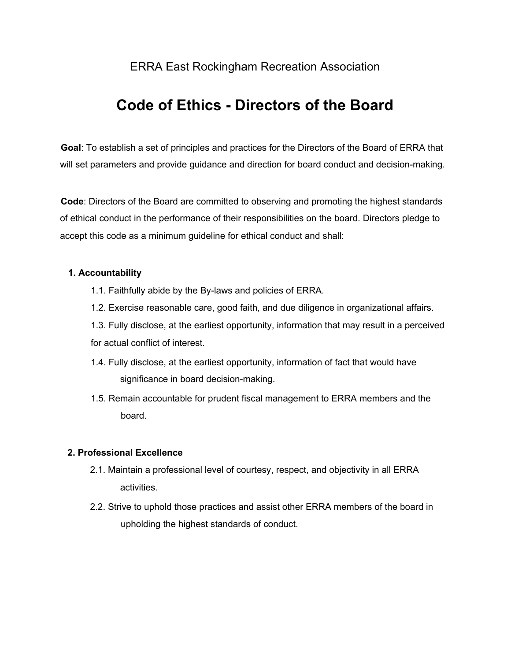# ERRA East Rockingham Recreation Association

# **Code of Ethics - Directors of the Board**

**Goal**: To establish a set of principles and practices for the Directors of the Board of ERRA that will set parameters and provide guidance and direction for board conduct and decision-making.

**Code**: Directors of the Board are committed to observing and promoting the highest standards of ethical conduct in the performance of their responsibilities on the board. Directors pledge to accept this code as a minimum guideline for ethical conduct and shall:

#### **1. Accountability**

- 1.1. Faithfully abide by the By-laws and policies of ERRA.
- 1.2. Exercise reasonable care, good faith, and due diligence in organizational affairs.

1.3. Fully disclose, at the earliest opportunity, information that may result in a perceived for actual conflict of interest.

- 1.4. Fully disclose, at the earliest opportunity, information of fact that would have significance in board decision-making.
- 1.5. Remain accountable for prudent fiscal management to ERRA members and the board.

#### **2. Professional Excellence**

- 2.1. Maintain a professional level of courtesy, respect, and objectivity in all ERRA activities.
- 2.2. Strive to uphold those practices and assist other ERRA members of the board in upholding the highest standards of conduct.